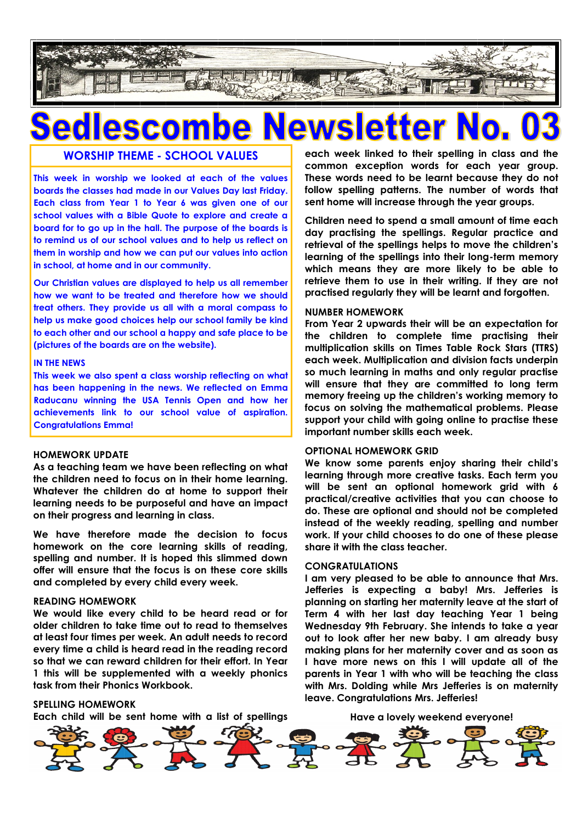

### **WORSHIP THEME - SCHOOL VALUES**

**This week in worship we looked at each of the values boards the classes had made in our Values Day last Friday. Each class from Year 1 to Year 6 was given one of our school values with a Bible Quote to explore and create a board for to go up in the hall. The purpose of the boards is to remind us of our school values and to help us reflect on them in worship and how we can put our values into action in school, at home and in our community.**

**Our Christian values are displayed to help us all remember how we want to be treated and therefore how we should treat others. They provide us all with a moral compass to help us make good choices help our school family be kind to each other and our school a happy and safe place to be (pictures of the boards are on the website).**

#### **IN THE NEWS**

**This week we also spent a class worship reflecting on what has been happening in the news. We reflected on Emma Raducanu winning the USA Tennis Open and how her achievements link to our school value of aspiration. Congratulations Emma!**

#### **HOMEWORK UPDATE**

**As a teaching team we have been reflecting on what the children need to focus on in their home learning. Whatever the children do at home to support their learning needs to be purposeful and have an impact on their progress and learning in class.**

**We have therefore made the decision to focus homework on the core learning skills of reading, spelling and number. It is hoped this slimmed down offer will ensure that the focus is on these core skills and completed by every child every week.**

#### **READING HOMEWORK**

**We would like every child to be heard read or for older children to take time out to read to themselves at least four times per week. An adult needs to record every time a child is heard read in the reading record so that we can reward children for their effort. In Year 1 this will be supplemented with a weekly phonics task from their Phonics Workbook.**

**each week linked to their spelling in class and the common exception words for each year group. These words need to be learnt because they do not follow spelling patterns. The number of words that sent home will increase through the year groups.**

**Children need to spend a small amount of time each day practising the spellings. Regular practice and retrieval of the spellings helps to move the children's learning of the spellings into their long-term memory which means they are more likely to be able to retrieve them to use in their writing. If they are not practised regularly they will be learnt and forgotten.**

#### **NUMBER HOMEWORK**

**From Year 2 upwards their will be an expectation for the children to complete time practising their multiplication skills on Times Table Rock Stars (TTRS) each week. Multiplication and division facts underpin so much learning in maths and only regular practise will ensure that they are committed to long term memory freeing up the children's working memory to focus on solving the mathematical problems. Please support your child with going online to practise these important number skills each week.**

#### **OPTIONAL HOMEWORK GRID**

**We know some parents enjoy sharing their child's learning through more creative tasks. Each term you will be sent an optional homework grid with 6 practical/creative activities that you can choose to do. These are optional and should not be completed instead of the weekly reading, spelling and number work. If your child chooses to do one of these please share it with the class teacher.**

#### **CONGRATULATIONS**

**I am very pleased to be able to announce that Mrs. Jefferies is expecting a baby! Mrs. Jefferies is planning on starting her maternity leave at the start of Term 4 with her last day teaching Year 1 being Wednesday 9th February. She intends to take a year out to look after her new baby. I am already busy making plans for her maternity cover and as soon as I have more news on this I will update all of the parents in Year 1 with who will be teaching the class with Mrs. Dolding while Mrs Jefferies is on maternity leave. Congratulations Mrs. Jefferies!**

#### **SPELLING HOMEWORK**

**Each child will be sent home with a list of spellings** 

**Have a lovely weekend everyone!**